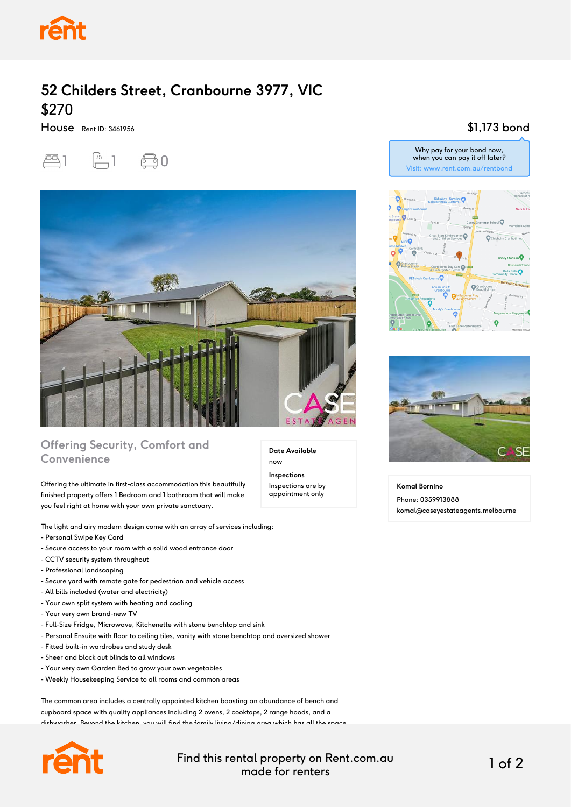

# **52 Childers Street, Cranbourne 3977, VIC** \$270

House Rent ID: 3461956





## **Offering Security, Comfort and Convenience**

Offering the ultimate in first-class accommodation this beautifully finished property offers 1 Bedroom and 1 bathroom that will make you feel right at home with your own private sanctuary.

The light and airy modern design come with an array of services including:

- Personal Swipe Key Card
- Secure access to your room with a solid wood entrance door
- CCTV security system throughout
- Professional landscaping
- Secure yard with remote gate for pedestrian and vehicle access
- All bills included (water and electricity)
- Your own split system with heating and cooling
- Your very own brand-new TV
- Full-Size Fridge, Microwave, Kitchenette with stone benchtop and sink
- Personal Ensuite with floor to ceiling tiles, vanity with stone benchtop and oversized shower
- Fitted built-in wardrobes and study desk
- Sheer and block out blinds to all windows
- Your very own Garden Bed to grow your own vegetables
- Weekly Housekeeping Service to all rooms and common areas

The common area includes a centrally appointed kitchen boasting an abundance of bench and cupboard space with quality appliances including 2 ovens, 2 cooktops, 2 range hoods, and a dishwasher. Beyond the kitchen, you will find the family living/dining area which has all the space



Find this rental property on Rent.com.au made for renters 1 of 2

**Date Available**

now **Inspections** Inspections are by appointment only

#### \$1,173 bond





**Komal Bornino** Phone: 0359913888 komal@caseyestateagents.melbourne